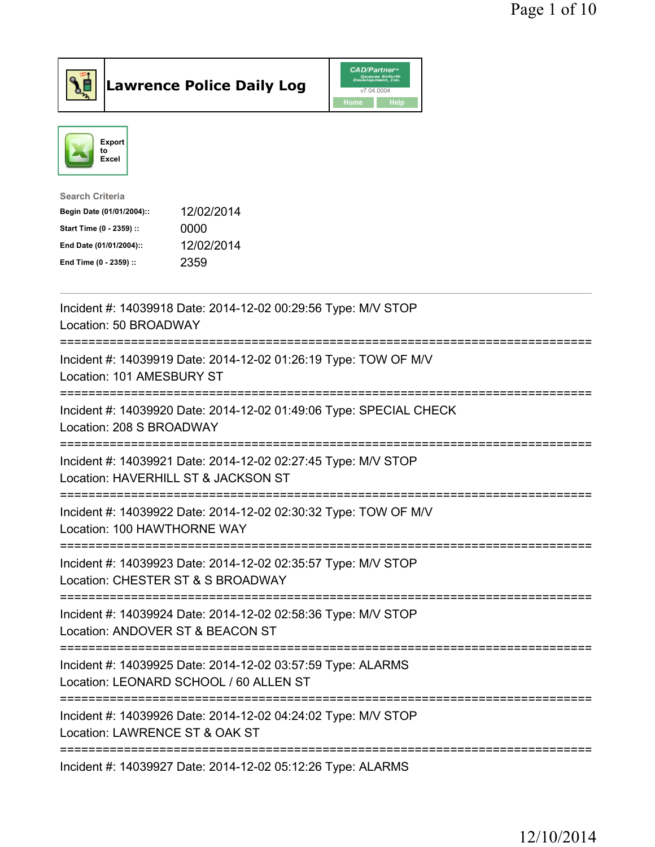



| <b>Search Criteria</b>    |            |
|---------------------------|------------|
| Begin Date (01/01/2004):: | 12/02/2014 |
| Start Time (0 - 2359) ::  | 0000       |
| End Date (01/01/2004)::   | 12/02/2014 |
| End Time (0 - 2359) ::    | 2359       |
|                           |            |

| Incident #: 14039918 Date: 2014-12-02 00:29:56 Type: M/V STOP<br>Location: 50 BROADWAY                                                    |
|-------------------------------------------------------------------------------------------------------------------------------------------|
| Incident #: 14039919 Date: 2014-12-02 01:26:19 Type: TOW OF M/V<br>Location: 101 AMESBURY ST                                              |
| Incident #: 14039920 Date: 2014-12-02 01:49:06 Type: SPECIAL CHECK<br>Location: 208 S BROADWAY                                            |
| Incident #: 14039921 Date: 2014-12-02 02:27:45 Type: M/V STOP<br>Location: HAVERHILL ST & JACKSON ST                                      |
| Incident #: 14039922 Date: 2014-12-02 02:30:32 Type: TOW OF M/V<br>Location: 100 HAWTHORNE WAY                                            |
| Incident #: 14039923 Date: 2014-12-02 02:35:57 Type: M/V STOP<br>Location: CHESTER ST & S BROADWAY<br>==============================      |
| Incident #: 14039924 Date: 2014-12-02 02:58:36 Type: M/V STOP<br>Location: ANDOVER ST & BEACON ST<br>==============================       |
| Incident #: 14039925 Date: 2014-12-02 03:57:59 Type: ALARMS<br>Location: LEONARD SCHOOL / 60 ALLEN ST<br>================================ |
| Incident #: 14039926 Date: 2014-12-02 04:24:02 Type: M/V STOP<br>Location: LAWRENCE ST & OAK ST                                           |
| Incident #: 14039927 Date: 2014-12-02 05:12:26 Type: ALARMS                                                                               |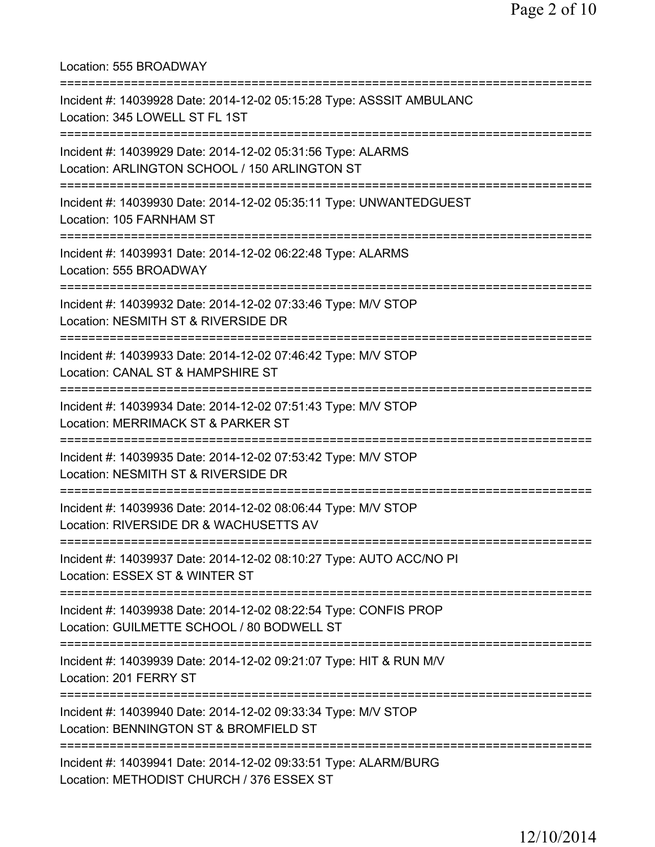Location: 555 BROADWAY =========================================================================== Incident #: 14039928 Date: 2014-12-02 05:15:28 Type: ASSSIT AMBULANC Location: 345 LOWELL ST FL 1ST =========================================================================== Incident #: 14039929 Date: 2014-12-02 05:31:56 Type: ALARMS Location: ARLINGTON SCHOOL / 150 ARLINGTON ST =========================================================================== Incident #: 14039930 Date: 2014-12-02 05:35:11 Type: UNWANTEDGUEST Location: 105 FARNHAM ST =========================================================================== Incident #: 14039931 Date: 2014-12-02 06:22:48 Type: ALARMS Location: 555 BROADWAY =========================================================================== Incident #: 14039932 Date: 2014-12-02 07:33:46 Type: M/V STOP Location: NESMITH ST & RIVERSIDE DR =========================================================================== Incident #: 14039933 Date: 2014-12-02 07:46:42 Type: M/V STOP Location: CANAL ST & HAMPSHIRE ST =========================================================================== Incident #: 14039934 Date: 2014-12-02 07:51:43 Type: M/V STOP Location: MERRIMACK ST & PARKER ST =========================================================================== Incident #: 14039935 Date: 2014-12-02 07:53:42 Type: M/V STOP Location: NESMITH ST & RIVERSIDE DR =========================================================================== Incident #: 14039936 Date: 2014-12-02 08:06:44 Type: M/V STOP Location: RIVERSIDE DR & WACHUSETTS AV =========================================================================== Incident #: 14039937 Date: 2014-12-02 08:10:27 Type: AUTO ACC/NO PI Location: ESSEX ST & WINTER ST =========================================================================== Incident #: 14039938 Date: 2014-12-02 08:22:54 Type: CONFIS PROP Location: GUILMETTE SCHOOL / 80 BODWELL ST =========================================================================== Incident #: 14039939 Date: 2014-12-02 09:21:07 Type: HIT & RUN M/V Location: 201 FERRY ST =========================================================================== Incident #: 14039940 Date: 2014-12-02 09:33:34 Type: M/V STOP Location: BENNINGTON ST & BROMFIELD ST =========================================================================== Incident #: 14039941 Date: 2014-12-02 09:33:51 Type: ALARM/BURG Location: METHODIST CHURCH / 376 ESSEX ST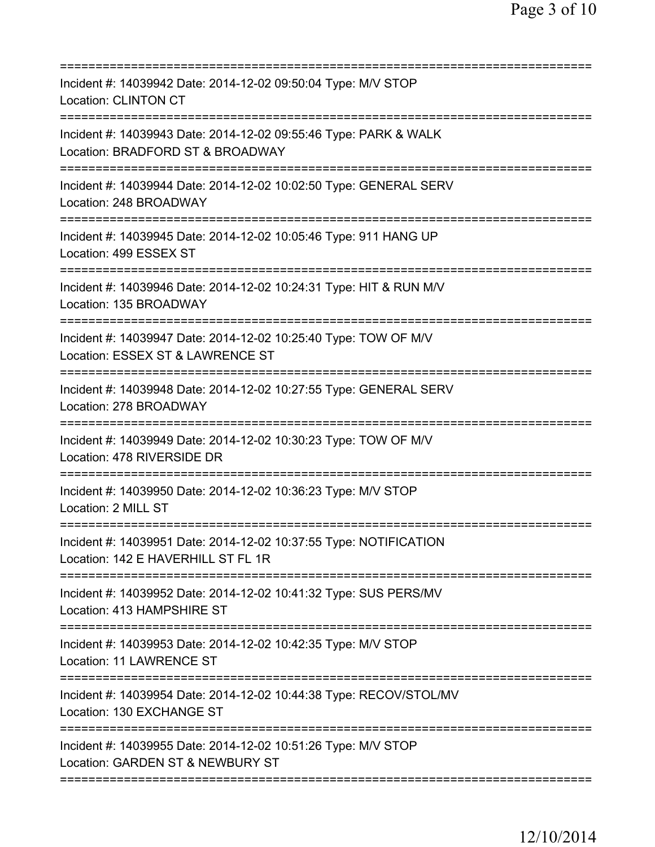| Incident #: 14039942 Date: 2014-12-02 09:50:04 Type: M/V STOP<br><b>Location: CLINTON CT</b>                                                 |
|----------------------------------------------------------------------------------------------------------------------------------------------|
| Incident #: 14039943 Date: 2014-12-02 09:55:46 Type: PARK & WALK<br>Location: BRADFORD ST & BROADWAY<br>================================     |
| Incident #: 14039944 Date: 2014-12-02 10:02:50 Type: GENERAL SERV<br>Location: 248 BROADWAY                                                  |
| Incident #: 14039945 Date: 2014-12-02 10:05:46 Type: 911 HANG UP<br>Location: 499 ESSEX ST                                                   |
| Incident #: 14039946 Date: 2014-12-02 10:24:31 Type: HIT & RUN M/V<br>Location: 135 BROADWAY                                                 |
| Incident #: 14039947 Date: 2014-12-02 10:25:40 Type: TOW OF M/V<br>Location: ESSEX ST & LAWRENCE ST<br>=============================         |
| Incident #: 14039948 Date: 2014-12-02 10:27:55 Type: GENERAL SERV<br>Location: 278 BROADWAY                                                  |
| Incident #: 14039949 Date: 2014-12-02 10:30:23 Type: TOW OF M/V<br>Location: 478 RIVERSIDE DR                                                |
| Incident #: 14039950 Date: 2014-12-02 10:36:23 Type: M/V STOP<br>Location: 2 MILL ST                                                         |
| Incident #: 14039951 Date: 2014-12-02 10:37:55 Type: NOTIFICATION<br>Location: 142 E HAVERHILL ST FL 1R<br>;================================ |
| Incident #: 14039952 Date: 2014-12-02 10:41:32 Type: SUS PERS/MV<br>Location: 413 HAMPSHIRE ST                                               |
| Incident #: 14039953 Date: 2014-12-02 10:42:35 Type: M/V STOP<br>Location: 11 LAWRENCE ST                                                    |
| Incident #: 14039954 Date: 2014-12-02 10:44:38 Type: RECOV/STOL/MV<br>Location: 130 EXCHANGE ST                                              |
| Incident #: 14039955 Date: 2014-12-02 10:51:26 Type: M/V STOP<br>Location: GARDEN ST & NEWBURY ST                                            |
|                                                                                                                                              |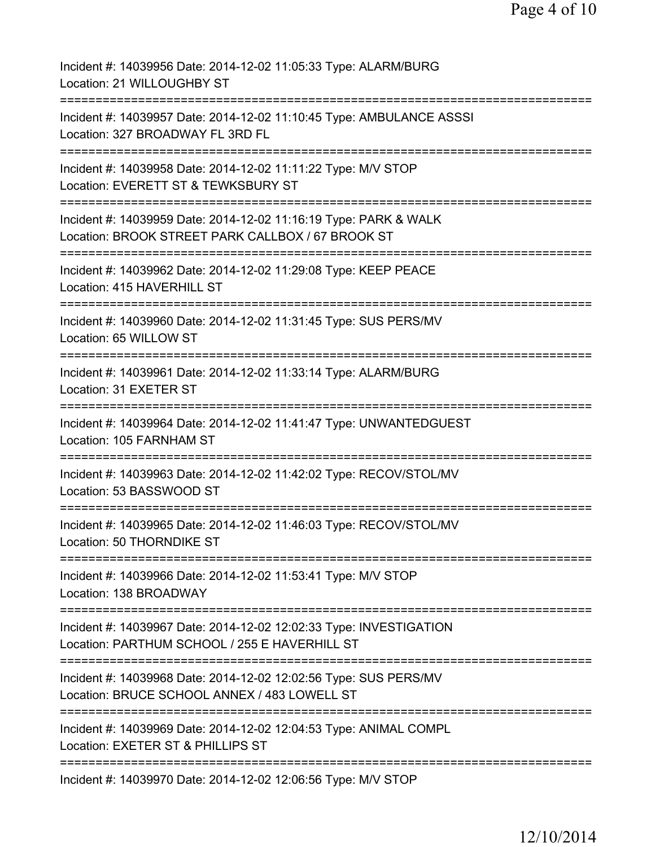| Incident #: 14039956 Date: 2014-12-02 11:05:33 Type: ALARM/BURG<br>Location: 21 WILLOUGHBY ST                                     |
|-----------------------------------------------------------------------------------------------------------------------------------|
| Incident #: 14039957 Date: 2014-12-02 11:10:45 Type: AMBULANCE ASSSI<br>Location: 327 BROADWAY FL 3RD FL                          |
| Incident #: 14039958 Date: 2014-12-02 11:11:22 Type: M/V STOP<br>Location: EVERETT ST & TEWKSBURY ST                              |
| Incident #: 14039959 Date: 2014-12-02 11:16:19 Type: PARK & WALK<br>Location: BROOK STREET PARK CALLBOX / 67 BROOK ST             |
| Incident #: 14039962 Date: 2014-12-02 11:29:08 Type: KEEP PEACE<br>Location: 415 HAVERHILL ST                                     |
| Incident #: 14039960 Date: 2014-12-02 11:31:45 Type: SUS PERS/MV<br>Location: 65 WILLOW ST<br>;================================== |
| Incident #: 14039961 Date: 2014-12-02 11:33:14 Type: ALARM/BURG<br>Location: 31 EXETER ST<br>:===============================     |
| Incident #: 14039964 Date: 2014-12-02 11:41:47 Type: UNWANTEDGUEST<br>Location: 105 FARNHAM ST                                    |
| Incident #: 14039963 Date: 2014-12-02 11:42:02 Type: RECOV/STOL/MV<br>Location: 53 BASSWOOD ST                                    |
| Incident #: 14039965 Date: 2014-12-02 11:46:03 Type: RECOV/STOL/MV<br>Location: 50 THORNDIKE ST                                   |
| Incident #: 14039966 Date: 2014-12-02 11:53:41 Type: M/V STOP<br>Location: 138 BROADWAY                                           |
| Incident #: 14039967 Date: 2014-12-02 12:02:33 Type: INVESTIGATION<br>Location: PARTHUM SCHOOL / 255 E HAVERHILL ST               |
| Incident #: 14039968 Date: 2014-12-02 12:02:56 Type: SUS PERS/MV<br>Location: BRUCE SCHOOL ANNEX / 483 LOWELL ST                  |
| Incident #: 14039969 Date: 2014-12-02 12:04:53 Type: ANIMAL COMPL<br>Location: EXETER ST & PHILLIPS ST                            |
| Incident #: 14039970 Date: 2014-12-02 12:06:56 Type: M/V STOP                                                                     |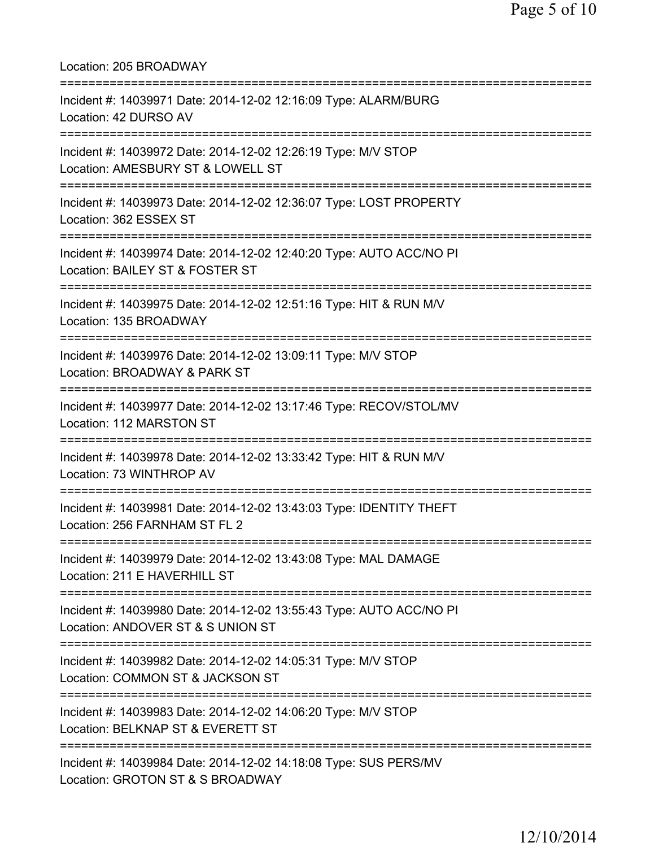| Location: 205 BROADWAY                                                                                                            |
|-----------------------------------------------------------------------------------------------------------------------------------|
| Incident #: 14039971 Date: 2014-12-02 12:16:09 Type: ALARM/BURG<br>Location: 42 DURSO AV<br>================================      |
| Incident #: 14039972 Date: 2014-12-02 12:26:19 Type: M/V STOP<br>Location: AMESBURY ST & LOWELL ST<br>=========================== |
| Incident #: 14039973 Date: 2014-12-02 12:36:07 Type: LOST PROPERTY<br>Location: 362 ESSEX ST                                      |
| Incident #: 14039974 Date: 2014-12-02 12:40:20 Type: AUTO ACC/NO PI<br>Location: BAILEY ST & FOSTER ST                            |
| Incident #: 14039975 Date: 2014-12-02 12:51:16 Type: HIT & RUN M/V<br>Location: 135 BROADWAY                                      |
| Incident #: 14039976 Date: 2014-12-02 13:09:11 Type: M/V STOP<br>Location: BROADWAY & PARK ST                                     |
| Incident #: 14039977 Date: 2014-12-02 13:17:46 Type: RECOV/STOL/MV<br>Location: 112 MARSTON ST                                    |
| Incident #: 14039978 Date: 2014-12-02 13:33:42 Type: HIT & RUN M/V<br>Location: 73 WINTHROP AV                                    |
| Incident #: 14039981 Date: 2014-12-02 13:43:03 Type: IDENTITY THEFT<br>Location: 256 FARNHAM ST FL 2                              |
| Incident #: 14039979 Date: 2014-12-02 13:43:08 Type: MAL DAMAGE<br>Location: 211 E HAVERHILL ST                                   |
| Incident #: 14039980 Date: 2014-12-02 13:55:43 Type: AUTO ACC/NO PI<br>Location: ANDOVER ST & S UNION ST                          |
| Incident #: 14039982 Date: 2014-12-02 14:05:31 Type: M/V STOP<br>Location: COMMON ST & JACKSON ST                                 |
| Incident #: 14039983 Date: 2014-12-02 14:06:20 Type: M/V STOP<br>Location: BELKNAP ST & EVERETT ST                                |
| Incident #: 14039984 Date: 2014-12-02 14:18:08 Type: SUS PERS/MV<br>Location: GROTON ST & S BROADWAY                              |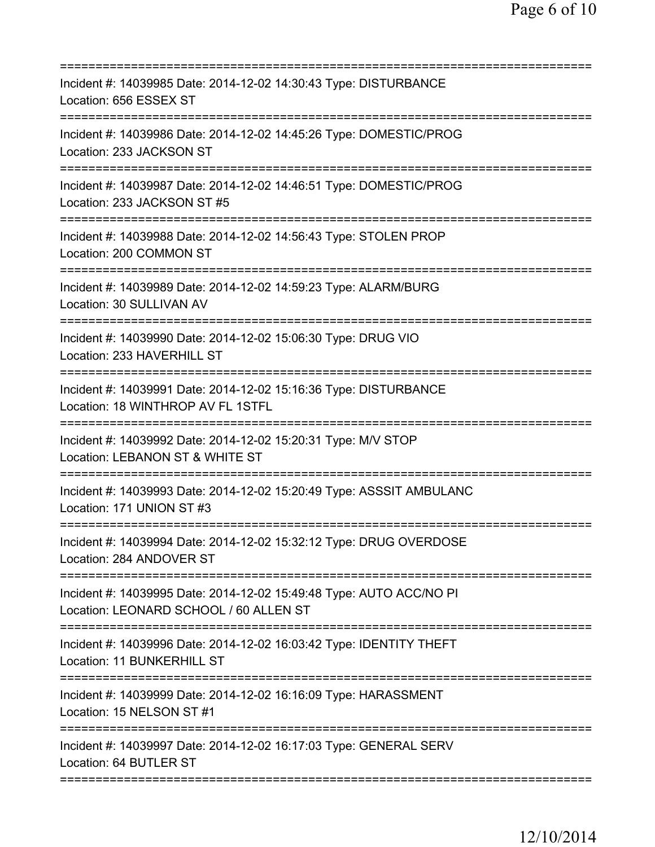| Incident #: 14039985 Date: 2014-12-02 14:30:43 Type: DISTURBANCE<br>Location: 656 ESSEX ST                                  |
|-----------------------------------------------------------------------------------------------------------------------------|
| Incident #: 14039986 Date: 2014-12-02 14:45:26 Type: DOMESTIC/PROG<br>Location: 233 JACKSON ST                              |
| Incident #: 14039987 Date: 2014-12-02 14:46:51 Type: DOMESTIC/PROG<br>Location: 233 JACKSON ST #5<br>====================== |
| Incident #: 14039988 Date: 2014-12-02 14:56:43 Type: STOLEN PROP<br>Location: 200 COMMON ST                                 |
| Incident #: 14039989 Date: 2014-12-02 14:59:23 Type: ALARM/BURG<br>Location: 30 SULLIVAN AV                                 |
| Incident #: 14039990 Date: 2014-12-02 15:06:30 Type: DRUG VIO<br>Location: 233 HAVERHILL ST                                 |
| Incident #: 14039991 Date: 2014-12-02 15:16:36 Type: DISTURBANCE<br>Location: 18 WINTHROP AV FL 1STFL                       |
| Incident #: 14039992 Date: 2014-12-02 15:20:31 Type: M/V STOP<br>Location: LEBANON ST & WHITE ST                            |
| Incident #: 14039993 Date: 2014-12-02 15:20:49 Type: ASSSIT AMBULANC<br>Location: 171 UNION ST #3                           |
| Incident #: 14039994 Date: 2014-12-02 15:32:12 Type: DRUG OVERDOSE<br>Location: 284 ANDOVER ST                              |
| Incident #: 14039995 Date: 2014-12-02 15:49:48 Type: AUTO ACC/NO PI<br>Location: LEONARD SCHOOL / 60 ALLEN ST               |
| Incident #: 14039996 Date: 2014-12-02 16:03:42 Type: IDENTITY THEFT<br>Location: 11 BUNKERHILL ST                           |
| Incident #: 14039999 Date: 2014-12-02 16:16:09 Type: HARASSMENT<br>Location: 15 NELSON ST #1                                |
| Incident #: 14039997 Date: 2014-12-02 16:17:03 Type: GENERAL SERV<br>Location: 64 BUTLER ST                                 |
|                                                                                                                             |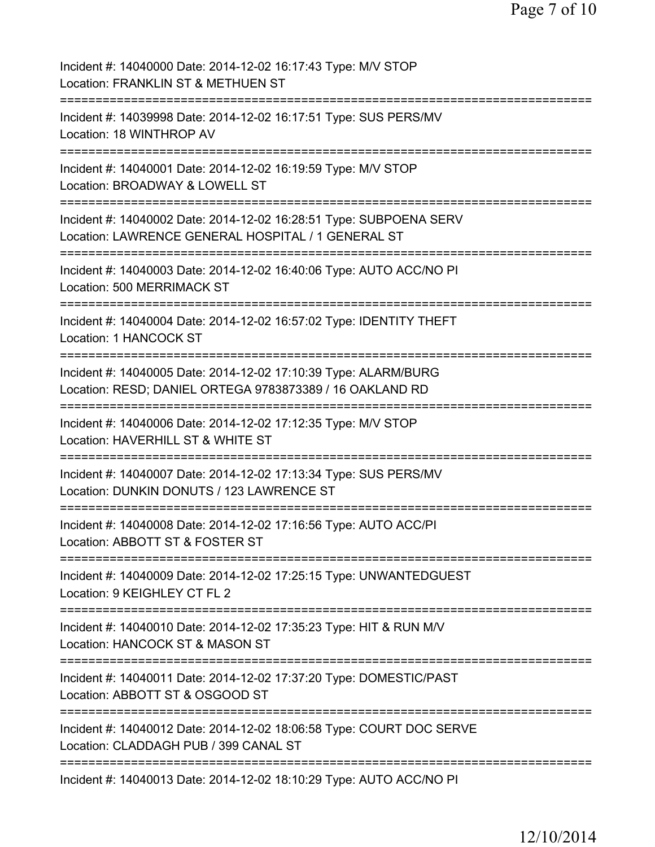| Incident #: 14040000 Date: 2014-12-02 16:17:43 Type: M/V STOP<br>Location: FRANKLIN ST & METHUEN ST                                                               |
|-------------------------------------------------------------------------------------------------------------------------------------------------------------------|
| Incident #: 14039998 Date: 2014-12-02 16:17:51 Type: SUS PERS/MV<br>Location: 18 WINTHROP AV                                                                      |
| Incident #: 14040001 Date: 2014-12-02 16:19:59 Type: M/V STOP<br>Location: BROADWAY & LOWELL ST                                                                   |
| Incident #: 14040002 Date: 2014-12-02 16:28:51 Type: SUBPOENA SERV<br>Location: LAWRENCE GENERAL HOSPITAL / 1 GENERAL ST<br>===================================== |
| Incident #: 14040003 Date: 2014-12-02 16:40:06 Type: AUTO ACC/NO PI<br>Location: 500 MERRIMACK ST<br>==============                                               |
| Incident #: 14040004 Date: 2014-12-02 16:57:02 Type: IDENTITY THEFT<br>Location: 1 HANCOCK ST<br>_____________________________________                            |
| Incident #: 14040005 Date: 2014-12-02 17:10:39 Type: ALARM/BURG<br>Location: RESD; DANIEL ORTEGA 9783873389 / 16 OAKLAND RD                                       |
| Incident #: 14040006 Date: 2014-12-02 17:12:35 Type: M/V STOP<br>Location: HAVERHILL ST & WHITE ST                                                                |
| Incident #: 14040007 Date: 2014-12-02 17:13:34 Type: SUS PERS/MV<br>Location: DUNKIN DONUTS / 123 LAWRENCE ST                                                     |
| Incident #: 14040008 Date: 2014-12-02 17:16:56 Type: AUTO ACC/PI<br>Location: ABBOTT ST & FOSTER ST                                                               |
| Incident #: 14040009 Date: 2014-12-02 17:25:15 Type: UNWANTEDGUEST<br>Location: 9 KEIGHLEY CT FL 2                                                                |
| Incident #: 14040010 Date: 2014-12-02 17:35:23 Type: HIT & RUN M/V<br>Location: HANCOCK ST & MASON ST                                                             |
| Incident #: 14040011 Date: 2014-12-02 17:37:20 Type: DOMESTIC/PAST<br>Location: ABBOTT ST & OSGOOD ST<br>==========                                               |
| Incident #: 14040012 Date: 2014-12-02 18:06:58 Type: COURT DOC SERVE<br>Location: CLADDAGH PUB / 399 CANAL ST                                                     |
| Incident #: 14040013 Date: 2014-12-02 18:10:29 Type: AUTO ACC/NO PI                                                                                               |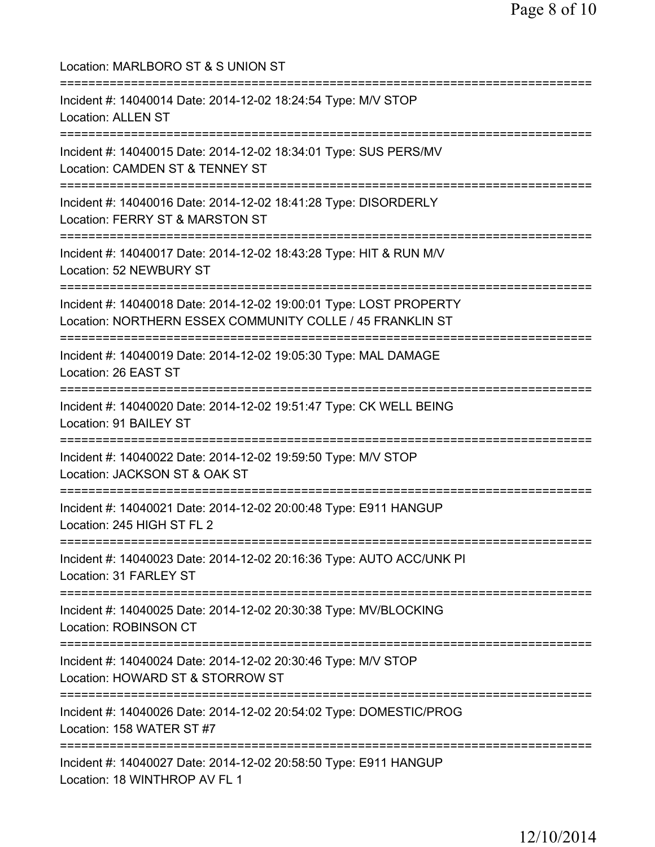| Location: MARLBORO ST & S UNION ST<br>================================                                                           |
|----------------------------------------------------------------------------------------------------------------------------------|
| Incident #: 14040014 Date: 2014-12-02 18:24:54 Type: M/V STOP<br><b>Location: ALLEN ST</b>                                       |
| Incident #: 14040015 Date: 2014-12-02 18:34:01 Type: SUS PERS/MV<br>Location: CAMDEN ST & TENNEY ST<br>========================= |
| Incident #: 14040016 Date: 2014-12-02 18:41:28 Type: DISORDERLY<br>Location: FERRY ST & MARSTON ST                               |
| :==========================<br>Incident #: 14040017 Date: 2014-12-02 18:43:28 Type: HIT & RUN M/V<br>Location: 52 NEWBURY ST     |
| Incident #: 14040018 Date: 2014-12-02 19:00:01 Type: LOST PROPERTY<br>Location: NORTHERN ESSEX COMMUNITY COLLE / 45 FRANKLIN ST  |
| Incident #: 14040019 Date: 2014-12-02 19:05:30 Type: MAL DAMAGE<br>Location: 26 EAST ST                                          |
| Incident #: 14040020 Date: 2014-12-02 19:51:47 Type: CK WELL BEING<br>Location: 91 BAILEY ST                                     |
| Incident #: 14040022 Date: 2014-12-02 19:59:50 Type: M/V STOP<br>Location: JACKSON ST & OAK ST                                   |
| ----------------<br>Incident #: 14040021 Date: 2014-12-02 20:00:48 Type: E911 HANGUP<br>Location: 245 HIGH ST FL 2               |
| Incident #: 14040023 Date: 2014-12-02 20:16:36 Type: AUTO ACC/UNK PI<br>Location: 31 FARLEY ST                                   |
| Incident #: 14040025 Date: 2014-12-02 20:30:38 Type: MV/BLOCKING<br><b>Location: ROBINSON CT</b>                                 |
| Incident #: 14040024 Date: 2014-12-02 20:30:46 Type: M/V STOP<br>Location: HOWARD ST & STORROW ST                                |
| Incident #: 14040026 Date: 2014-12-02 20:54:02 Type: DOMESTIC/PROG<br>Location: 158 WATER ST #7                                  |
| Incident #: 14040027 Date: 2014-12-02 20:58:50 Type: E911 HANGUP<br>Location: 18 WINTHROP AV FL 1                                |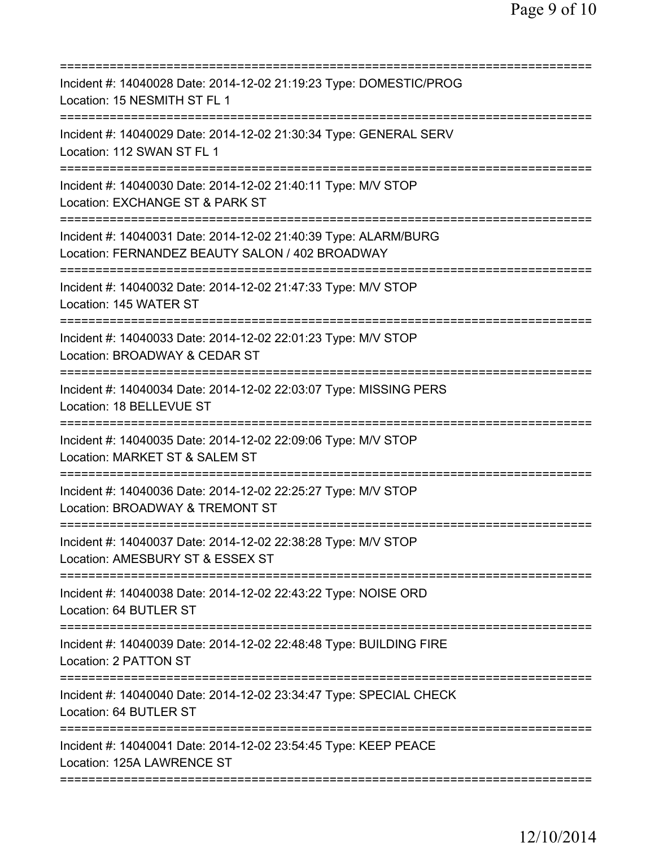| Incident #: 14040028 Date: 2014-12-02 21:19:23 Type: DOMESTIC/PROG<br>Location: 15 NESMITH ST FL 1                                           |
|----------------------------------------------------------------------------------------------------------------------------------------------|
| Incident #: 14040029 Date: 2014-12-02 21:30:34 Type: GENERAL SERV<br>Location: 112 SWAN ST FL 1                                              |
| Incident #: 14040030 Date: 2014-12-02 21:40:11 Type: M/V STOP<br>Location: EXCHANGE ST & PARK ST                                             |
| Incident #: 14040031 Date: 2014-12-02 21:40:39 Type: ALARM/BURG<br>Location: FERNANDEZ BEAUTY SALON / 402 BROADWAY<br>====================== |
| Incident #: 14040032 Date: 2014-12-02 21:47:33 Type: M/V STOP<br>Location: 145 WATER ST                                                      |
| Incident #: 14040033 Date: 2014-12-02 22:01:23 Type: M/V STOP<br>Location: BROADWAY & CEDAR ST                                               |
| Incident #: 14040034 Date: 2014-12-02 22:03:07 Type: MISSING PERS<br>Location: 18 BELLEVUE ST                                                |
| Incident #: 14040035 Date: 2014-12-02 22:09:06 Type: M/V STOP<br>Location: MARKET ST & SALEM ST                                              |
| Incident #: 14040036 Date: 2014-12-02 22:25:27 Type: M/V STOP<br>Location: BROADWAY & TREMONT ST                                             |
| Incident #: 14040037 Date: 2014-12-02 22:38:28 Type: M/V STOP<br>Location: AMESBURY ST & ESSEX ST                                            |
| Incident #: 14040038 Date: 2014-12-02 22:43:22 Type: NOISE ORD<br>Location: 64 BUTLER ST                                                     |
| Incident #: 14040039 Date: 2014-12-02 22:48:48 Type: BUILDING FIRE<br>Location: 2 PATTON ST                                                  |
| Incident #: 14040040 Date: 2014-12-02 23:34:47 Type: SPECIAL CHECK<br>Location: 64 BUTLER ST                                                 |
| Incident #: 14040041 Date: 2014-12-02 23:54:45 Type: KEEP PEACE<br>Location: 125A LAWRENCE ST                                                |
|                                                                                                                                              |